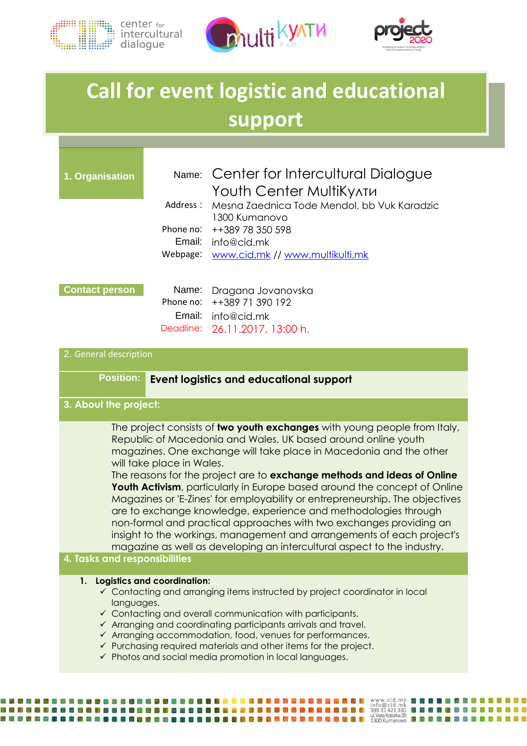





# **Call for event logistic and educational support**

| 1. Organisation                                                                       |                                                | Name: Center for Intercultural Dialogue                      |  |
|---------------------------------------------------------------------------------------|------------------------------------------------|--------------------------------------------------------------|--|
|                                                                                       |                                                | Youth Center MultiKy^TM                                      |  |
|                                                                                       | Address:                                       | Mesna Zaednica Tode Mendol, bb Vuk Karadzic<br>1300 Kumanovo |  |
|                                                                                       |                                                | Phone no: ++389 78 350 598                                   |  |
|                                                                                       |                                                | Email: info@cid.mk                                           |  |
|                                                                                       |                                                | Webpage: www.cid.mk // www.multikulti.mk                     |  |
|                                                                                       |                                                |                                                              |  |
|                                                                                       |                                                |                                                              |  |
| <b>Contact person</b>                                                                 |                                                | Name: Dragana Jovanovska<br>Phone no: ++389 71 390 192       |  |
|                                                                                       |                                                |                                                              |  |
|                                                                                       |                                                | Email: info@cid.mk                                           |  |
|                                                                                       |                                                | Deadline: 26.11.2017, 13:00 h.                               |  |
| 2. General description                                                                |                                                |                                                              |  |
|                                                                                       |                                                |                                                              |  |
| <b>Position:</b>                                                                      | <b>Event logistics and educational support</b> |                                                              |  |
|                                                                                       |                                                |                                                              |  |
| 3. About the project:                                                                 |                                                |                                                              |  |
| The project consists of <b>two youth exchanges</b> with young people from Italy,<br>. |                                                |                                                              |  |

Republic of Macedonia and Wales, UK based around online youth magazines. One exchange will take place in Macedonia and the other will take place in Wales.

The reasons for the project are to **exchange methods and ideas of Online Youth Activism**, particularly in Europe based around the concept of Online Magazines or 'E-Zines' for employability or entrepreneurship. The objectives are to exchange knowledge, experience and methodologies through non-formal and practical approaches with two exchanges providing an insight to the workings, management and arrangements of each project's magazine as well as developing an intercultural aspect to the industry.

## **4. Tasks and responsibilities**

#### **1. Logistics and coordination:**

**BBBBBBBBBBBBBBB** 

- $\checkmark$  Contacting and arranging items instructed by project coordinator in local languages.
- $\checkmark$  Contacting and overall communication with participants.
- $\checkmark$  Arranging and coordinating participants arrivals and travel.
- $\checkmark$  Arranging accommodation, food, venues for performances.
- $\checkmark$  Purchasing required materials and other items for the project.

**. . . .** 

**BODD & BODD & BODD & BODD & BODD & BODD & BODD & BO**DD & 1300 Kumanovo **BDD** 

 $\checkmark$  Photos and social media promotion in local languages.